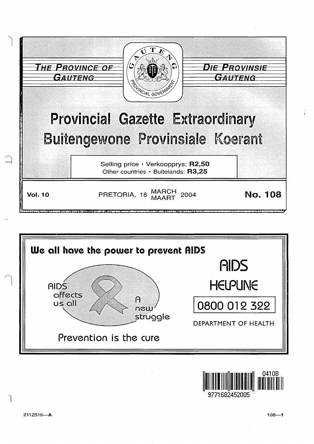